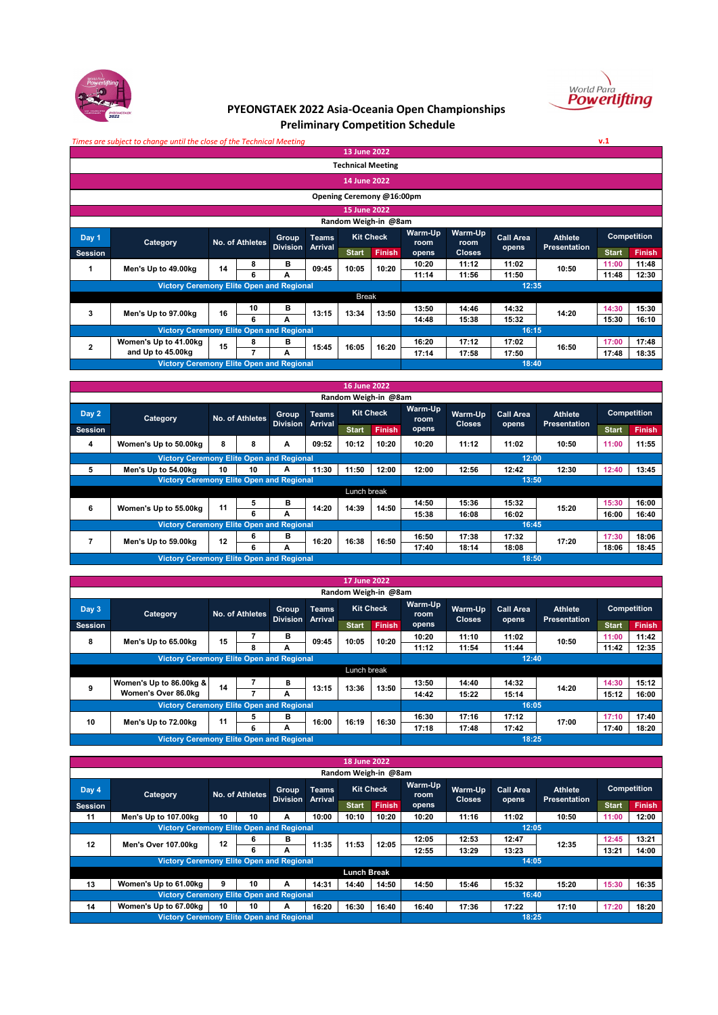



**v.1**

## **PYEONGTAEK 2022 Asia-Oceania Open Championships Preliminary Competition Schedule**

*Times are subject to change until the close of the Technical Meeting*

|                |                                                 |    |                 |                 |                | 13 June 2022              |                  |                 |                                     |       |                |                    |               |  |
|----------------|-------------------------------------------------|----|-----------------|-----------------|----------------|---------------------------|------------------|-----------------|-------------------------------------|-------|----------------|--------------------|---------------|--|
|                |                                                 |    |                 |                 |                | <b>Technical Meeting</b>  |                  |                 |                                     |       |                |                    |               |  |
|                |                                                 |    |                 |                 |                | 14 June 2022              |                  |                 |                                     |       |                |                    |               |  |
|                |                                                 |    |                 |                 |                | Opening Ceremony @16:00pm |                  |                 |                                     |       |                |                    |               |  |
|                |                                                 |    |                 |                 |                | 15 June 2022              |                  |                 |                                     |       |                |                    |               |  |
|                |                                                 |    |                 |                 |                | Random Weigh-in @8am      |                  |                 |                                     |       |                |                    |               |  |
| Day 1          | Category                                        |    | No. of Athletes | Group           | <b>Teams</b>   |                           | <b>Kit Check</b> | Warm-Up<br>room | Warm-Up<br><b>Call Area</b><br>room |       | <b>Athlete</b> | <b>Competition</b> |               |  |
| <b>Session</b> |                                                 |    |                 | <b>Division</b> | <b>Arrival</b> | <b>Start</b>              | <b>Finish</b>    | opens           | <b>Closes</b>                       | opens | Presentation   | <b>Start</b>       | <b>Finish</b> |  |
| 1              | Men's Up to 49.00kg                             | 14 | 8               | в               |                | 10:05                     | 10:20            | 10:20           | 11:12                               | 11:02 | 10:50          | 11:00              | 11:48         |  |
|                |                                                 |    | 6               | A               | 09:45          |                           |                  | 11:14           | 11:56                               | 11:50 |                | 11:48              | 12:30         |  |
|                | <b>Victory Ceremony Elite Open and Regional</b> |    |                 |                 |                |                           |                  |                 |                                     | 12:35 |                |                    |               |  |
|                |                                                 |    |                 |                 |                | <b>Break</b>              |                  |                 |                                     |       |                |                    |               |  |
| 3              | Men's Up to 97.00kg                             | 16 | 10              | в               | 13:15          | 13:34                     | 13:50            | 13:50           | 14:46                               | 14:32 | 14:20          | 14:30              | 15:30         |  |
|                |                                                 |    | 6               | А               |                |                           |                  | 14:48           | 15:38                               | 15:32 |                | 15:30              | 16:10         |  |
|                | <b>Victory Ceremony Elite Open and Regional</b> |    |                 |                 |                |                           |                  |                 |                                     | 16:15 |                |                    |               |  |
| $\overline{2}$ | Women's Up to 41.00kg                           | 15 | 8               | в               | 15:45          | 16:05                     | 16:20            | 16:20           | 17:12                               | 17:02 | 16:50          | 17:00              | 17:48         |  |
|                | and Up to 45.00kg                               |    |                 | A               |                |                           |                  | 17:14           | 17:58                               | 17:50 |                | 17:48              | 18:35         |  |
|                | <b>Victory Ceremony Elite Open and Regional</b> |    |                 |                 |                |                           |                  |                 |                                     | 18:40 |                |                    |               |  |

|                |                                                                                                                                                                                                                                                                                     |    |    |              |              | <b>16 June 2022</b> |                      |                          |                          |       |                  |                                       |                                                                                 |  |
|----------------|-------------------------------------------------------------------------------------------------------------------------------------------------------------------------------------------------------------------------------------------------------------------------------------|----|----|--------------|--------------|---------------------|----------------------|--------------------------|--------------------------|-------|------------------|---------------------------------------|---------------------------------------------------------------------------------|--|
|                |                                                                                                                                                                                                                                                                                     |    |    |              |              |                     | Random Weigh-in @8am |                          |                          |       |                  |                                       |                                                                                 |  |
| Day 2          | <b>Category</b>                                                                                                                                                                                                                                                                     |    |    | <b>Group</b> | <b>Teams</b> |                     | <b>Kit Check</b>     | Warm-Up<br>room<br>opens | Warm-Up<br><b>Closes</b> |       | <b>Call Area</b> | <b>Athlete</b><br><b>Presentation</b> | <b>Competition</b><br><b>Start</b><br>11:00<br>12:40<br>15:30<br>16:00<br>17:30 |  |
| <b>Session</b> |                                                                                                                                                                                                                                                                                     |    |    |              |              | <b>Start</b>        | <b>Finish</b>        |                          |                          | opens |                  |                                       | <b>Finish</b>                                                                   |  |
| 4              | Women's Up to 50.00kg                                                                                                                                                                                                                                                               | 8  | 8  | A            | 09:52        | 10:12               | 10:20                | 10:20                    | 11:12                    | 11:02 | 10:50            |                                       | 11:55                                                                           |  |
|                |                                                                                                                                                                                                                                                                                     |    |    |              |              |                     |                      | 12:00                    |                          |       |                  |                                       |                                                                                 |  |
| 5              | Men's Up to 54.00kg                                                                                                                                                                                                                                                                 | 10 | 10 | A            | 11:30        | 11:50               | 12:00                | 12:00                    | 12:56                    | 12:42 | 12:30            |                                       | 13:45                                                                           |  |
|                | No. of Athletes<br><b>Division</b><br><b>Arrival</b><br><b>Victory Ceremony Elite Open and Regional</b><br><b>Victory Ceremony Elite Open and Regional</b><br>5<br>в<br>11<br>6<br>14:20<br>Women's Up to 55.00kg<br>6<br>A<br><b>Victory Ceremony Elite Open and Regional</b><br>6 |    |    |              |              |                     |                      | 13:50                    |                          |       |                  |                                       |                                                                                 |  |
|                |                                                                                                                                                                                                                                                                                     |    |    |              |              | Lunch break         |                      |                          |                          |       |                  |                                       |                                                                                 |  |
|                |                                                                                                                                                                                                                                                                                     |    |    |              |              | 14:39               | 14:50                | 14:50                    | 15:36                    | 15:32 | 15:20            |                                       | 16:00                                                                           |  |
|                |                                                                                                                                                                                                                                                                                     |    |    |              |              |                     |                      | 15:38                    | 16:08                    | 16:02 |                  |                                       | 16:40                                                                           |  |
|                |                                                                                                                                                                                                                                                                                     |    |    |              |              |                     |                      |                          |                          | 16:45 |                  |                                       |                                                                                 |  |
|                | Men's Up to 59.00kg                                                                                                                                                                                                                                                                 | 12 |    | в            | 16:20        | 16:38               | 16:50                | 16:50                    | 17:38                    | 17:32 | 17:20            |                                       | 18:06                                                                           |  |
|                |                                                                                                                                                                                                                                                                                     |    | 6  | A            |              |                     |                      | 17:40                    | 18:14                    | 18:08 |                  | 18:06                                 | 18:45                                                                           |  |
|                | <b>Victory Ceremony Elite Open and Regional</b>                                                                                                                                                                                                                                     |    |    |              |              |                     |                      |                          |                          | 18:50 |                  |                                       |                                                                                 |  |

|                                                                                                                                                                                                                                                                                |                                                 |    |   |              |              | 17 June 2022         |               |                 |                          |                           |                                       |              |                    |
|--------------------------------------------------------------------------------------------------------------------------------------------------------------------------------------------------------------------------------------------------------------------------------|-------------------------------------------------|----|---|--------------|--------------|----------------------|---------------|-----------------|--------------------------|---------------------------|---------------------------------------|--------------|--------------------|
|                                                                                                                                                                                                                                                                                |                                                 |    |   |              |              | Random Weigh-in @8am |               |                 |                          |                           |                                       |              |                    |
| Day 3                                                                                                                                                                                                                                                                          | Category                                        |    |   | <b>Group</b> | <b>Teams</b> | <b>Kit Check</b>     |               | Warm-Up<br>room | Warm-Up<br><b>Closes</b> | <b>Call Area</b><br>opens | <b>Athlete</b><br><b>Presentation</b> |              | <b>Competition</b> |
| <b>Session</b>                                                                                                                                                                                                                                                                 |                                                 |    |   |              |              | <b>Start</b>         | <b>Finish</b> | opens           |                          |                           |                                       | <b>Start</b> | <b>Finish</b>      |
|                                                                                                                                                                                                                                                                                |                                                 |    | 8 | в            |              | 10:05                | 10:20         | 10:20           | 11:10                    | 11:02                     | 10:50                                 | 11:00        | 11:42              |
|                                                                                                                                                                                                                                                                                |                                                 |    |   | А            |              |                      |               | 11:12           | 11:54                    | 11:44                     |                                       | 11:42        | 12:35              |
| No. of Athletes<br><b>Division</b><br>Arrival<br>15<br>8<br>09:45<br>Men's Up to 65.00kg<br><b>Victory Ceremony Elite Open and Regional</b><br>Women's Up to 86.00kg &<br>В<br>14<br>9<br>13:15<br>Women's Over 86.0kg<br>А<br><b>Victory Ceremony Elite Open and Regional</b> |                                                 |    |   |              |              |                      |               |                 |                          | 12:40                     |                                       |              |                    |
|                                                                                                                                                                                                                                                                                |                                                 |    |   |              |              | Lunch break          |               |                 |                          |                           |                                       |              |                    |
|                                                                                                                                                                                                                                                                                |                                                 |    |   |              |              | 13:36                | 13:50         | 13:50           | 14:40                    | 14:32                     | 14:20                                 | 14:30        | 15:12              |
|                                                                                                                                                                                                                                                                                |                                                 |    |   |              |              |                      |               | 14:42           | 15:22                    | 15:14                     |                                       | 15:12        | 16:00              |
|                                                                                                                                                                                                                                                                                |                                                 |    |   |              |              |                      |               |                 |                          | 16:05                     |                                       |              |                    |
| 10                                                                                                                                                                                                                                                                             | Men's Up to 72.00kg                             | 11 | 5 | в            | 16:00        | 16:19                | 16:30         | 16:30           | 17:16                    | 17:12                     | 17:00                                 | 17:10        | 17:40              |
|                                                                                                                                                                                                                                                                                |                                                 |    | 6 | А            |              |                      |               | 17:18           | 17:48                    | 17:42                     |                                       | 17:40        | 18:20              |
|                                                                                                                                                                                                                                                                                | <b>Victory Ceremony Elite Open and Regional</b> |    |   |              |              |                      |               |                 |                          | 18:25                     |                                       |              |                    |

|                                                                                                                                                                                                                              |                                                 |    |    |              |              | 18 June 2022         |                  |                 |                          |                           |                                |              |                    |  |
|------------------------------------------------------------------------------------------------------------------------------------------------------------------------------------------------------------------------------|-------------------------------------------------|----|----|--------------|--------------|----------------------|------------------|-----------------|--------------------------|---------------------------|--------------------------------|--------------|--------------------|--|
|                                                                                                                                                                                                                              |                                                 |    |    |              |              | Random Weigh-in @8am |                  |                 |                          |                           |                                |              |                    |  |
| Day 4                                                                                                                                                                                                                        | Category                                        |    |    | <b>Group</b> | <b>Teams</b> |                      | <b>Kit Check</b> | Warm-Up<br>room | Warm-Up<br><b>Closes</b> | <b>Call Area</b><br>opens | Athlete<br><b>Presentation</b> |              | <b>Competition</b> |  |
| <b>Session</b>                                                                                                                                                                                                               |                                                 |    |    |              |              | <b>Start</b>         | <b>Finish</b>    | opens           |                          |                           |                                | <b>Start</b> | <b>Finish</b>      |  |
| 11                                                                                                                                                                                                                           | Men's Up to 107,00kg                            | 10 | 10 | A            | 10:00        | 10:10                | 10:20            | 10:20           | 11:16                    | 11:02                     | 10:50                          | 11:00        | 12:00              |  |
| No. of Athletes<br><b>Division</b><br>Arrival<br><b>Victory Ceremony Elite Open and Regional</b><br>в<br>6<br>12<br>12<br>11:35<br>11:53<br>Men's Over 107,00kg<br>6<br>А<br><b>Victory Ceremony Elite Open and Regional</b> |                                                 |    |    |              |              |                      |                  | 12:05           |                          |                           |                                |              |                    |  |
|                                                                                                                                                                                                                              |                                                 |    |    |              |              |                      | 12:05            | 12:05           | 12:53                    | 12:47                     | 12:35                          | 12:45        | 13:21              |  |
|                                                                                                                                                                                                                              |                                                 |    |    |              |              |                      |                  | 12:55           | 13:29                    | 13:23                     |                                | 13:21        | 14:00              |  |
|                                                                                                                                                                                                                              |                                                 |    |    |              |              |                      |                  |                 |                          | 14:05                     |                                |              |                    |  |
|                                                                                                                                                                                                                              |                                                 |    |    |              |              | <b>Lunch Break</b>   |                  |                 |                          |                           |                                |              |                    |  |
| 13                                                                                                                                                                                                                           | Women's Up to 61.00kg                           | 9  | 10 | А            | 14:31        | 14:40                | 14:50            | 14:50           | 15:46                    | 15:32                     | 15:20                          | 15:30        | 16:35              |  |
|                                                                                                                                                                                                                              | <b>Victory Ceremony Elite Open and Regional</b> |    |    |              |              |                      |                  |                 |                          | 16:40                     |                                |              |                    |  |
| 14                                                                                                                                                                                                                           | Women's Up to 67.00kg                           | 10 | 10 | A            | 16:20        | 16:30                | 16:40            | 16:40           | 17:36                    | 17:22                     | 17:10                          | 17:20        | 18:20              |  |
|                                                                                                                                                                                                                              | <b>Victory Ceremony Elite Open and Regional</b> |    |    |              |              |                      |                  |                 |                          | 18:25                     |                                |              |                    |  |